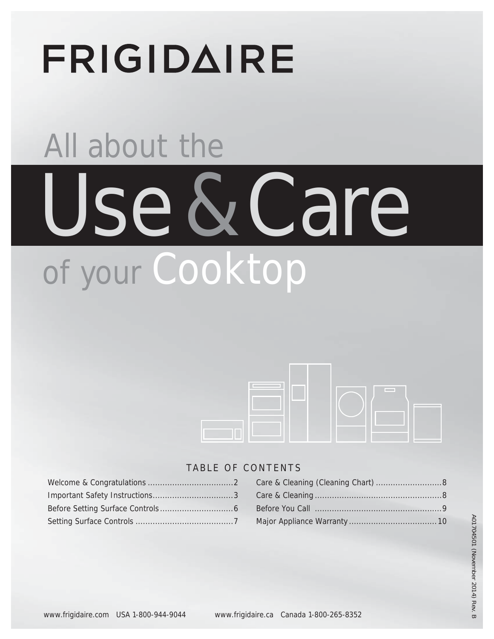# **FRIGIDAIRE**

# All about the Use & Care of your Cooktop



## TABLE OF CONTENTS

#### Care & Cleaning (Cleaning Chart) ...........................8 Care & Cleaning ....................................................8 Before You Call ....................................................9 Major Appliance Warranty ....................................10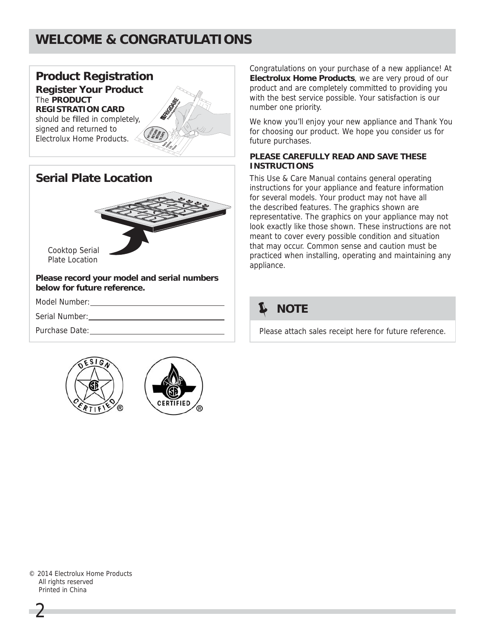## **WELCOME & CONGRATULATIONS**





**Please record your model and serial numbers below for future reference.**

Model Number:

Serial Number:

Purchase Date:





Congratulations on your purchase of a new appliance! At **Electrolux Home Products**, we are very proud of our product and are completely committed to providing you with the best service possible. Your satisfaction is our number one priority.

We know you'll enjoy your new appliance and Thank You for choosing our product. We hope you consider us for future purchases.

#### **PLEASE CAREFULLY READ AND SAVE THESE INSTRUCTIONS**

This Use & Care Manual contains general operating instructions for your appliance and feature information for several models. Your product may not have all the described features. The graphics shown are representative. The graphics on your appliance may not look exactly like those shown. These instructions are not meant to cover every possible condition and situation that may occur. Common sense and caution must be practiced when installing, operating and maintaining any appliance.

## **NOTE**

Please attach sales receipt here for future reference.

© 2014 Electrolux Home Products All rights reserved Printed in China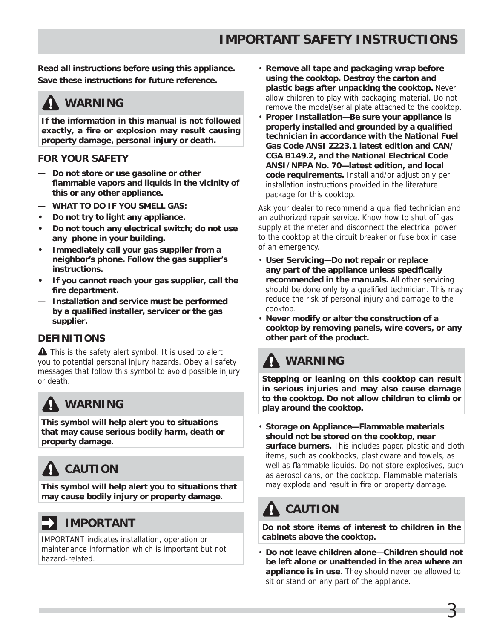**Read all instructions before using this appliance. Save these instructions for future reference.**

## **A** WARNING

**If the information in this manual is not followed**  exactly, a fire or explosion may result causing **property damage, personal injury or death.**

#### **FOR YOUR SAFETY**

- **Do not store or use gasoline or other**  flammable vapors and liquids in the vicinity of **this or any other appliance.**
- **WHAT TO DO IF YOU SMELL GAS:**
- **Do not try to light any appliance.**
- **Do not touch any electrical switch; do not use any phone in your building.**
- **Immediately call your gas supplier from a neighbor's phone. Follow the gas supplier's instructions.**
- **If you cannot reach your gas supplier, call the**  fire department.
- **Installation and service must be performed**  by a qualified installer, servicer or the gas **supplier.**

#### **DEFINITIONS**

**A** This is the safety alert symbol. It is used to alert you to potential personal injury hazards. Obey all safety messages that follow this symbol to avoid possible injury or death.

## **WARNING**

**This symbol will help alert you to situations that may cause serious bodily harm, death or property damage.**

# **CAUTION**

**This symbol will help alert you to situations that may cause bodily injury or property damage.**

## **IMPORTANT**

IMPORTANT indicates installation, operation or maintenance information which is important but not hazard-related.

- **Remove all tape and packaging wrap before using the cooktop. Destroy the carton and plastic bags after unpacking the cooktop.** Never allow children to play with packaging material. Do not remove the model/serial plate attached to the cooktop.
- **Proper Installation—Be sure your appliance is**  properly installed and grounded by a qualified **technician in accordance with the National Fuel Gas Code ANSI Z223.1 latest edition and CAN/ CGA B149.2, and the National Electrical Code ANSI/NFPA No. 70—latest edition, and local code requirements.** Install and/or adjust only per installation instructions provided in the literature package for this cooktop.

Ask your dealer to recommend a qualified technician and an authorized repair service. Know how to shut off gas supply at the meter and disconnect the electrical power to the cooktop at the circuit breaker or fuse box in case of an emergency.

- **User Servicing—Do not repair or replace**  any part of the appliance unless specifically **recommended in the manuals.** All other servicing should be done only by a qualified technician. This may reduce the risk of personal injury and damage to the cooktop.
- **Never modify or alter the construction of a cooktop by removing panels, wire covers, or any other part of the product.**

## **WARNING**

**Stepping or leaning on this cooktop can result in serious injuries and may also cause damage to the cooktop. Do not allow children to climb or play around the cooktop.**

• **Storage on Appliance—Flammable materials should not be stored on the cooktop, near surface burners.** This includes paper, plastic and cloth items, such as cookbooks, plasticware and towels, as well as flammable liquids. Do not store explosives, such as aerosol cans, on the cooktop. Flammable materials may explode and result in fire or property damage.

# **CAUTION**

**Do not store items of interest to children in the cabinets above the cooktop.** 

• **Do not leave children alone—Children should not be left alone or unattended in the area where an appliance is in use.** They should never be allowed to sit or stand on any part of the appliance.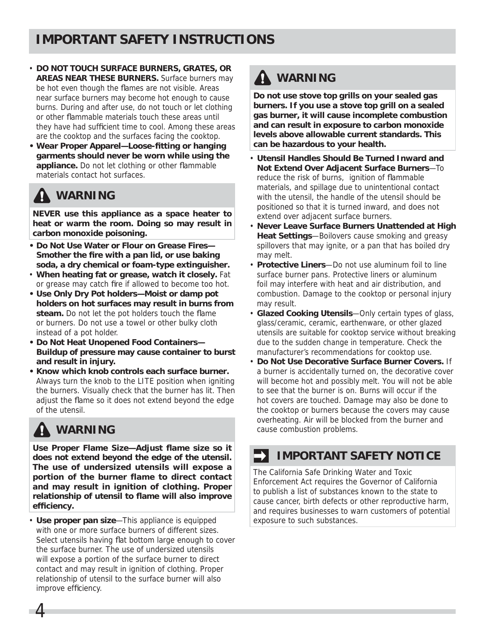- **DO NOT TOUCH SURFACE BURNERS, GRATES, OR AREAS NEAR THESE BURNERS.** Surface burners may be hot even though the flames are not visible. Areas near surface burners may become hot enough to cause burns. During and after use, do not touch or let clothing or other flammable materials touch these areas until they have had sufficient time to cool. Among these areas are the cooktop and the surfaces facing the cooktop.
- Wear Proper Apparel-Loose-fitting or hanging **garments should never be worn while using the appliance.** Do not let clothing or other flammable materials contact hot surfaces.

## **WARNING**

**NEVER use this appliance as a space heater to heat or warm the room. Doing so may result in carbon monoxide poisoning.**

- **Do Not Use Water or Flour on Grease Fires—** Smother the fire with a pan lid, or use baking **soda, a dry chemical or foam-type extinguisher.**
- **When heating fat or grease, watch it closely.** Fat or grease may catch fire if allowed to become too hot.
- **Use Only Dry Pot holders—Moist or damp pot holders on hot surfaces may result in burns from**  steam. Do not let the pot holders touch the flame or burners. Do not use a towel or other bulky cloth instead of a pot holder.
- **Do Not Heat Unopened Food Containers— Buildup of pressure may cause container to burst and result in injury.**
- **Know which knob controls each surface burner.** Always turn the knob to the LITE position when igniting the burners. Visually check that the burner has lit. Then adjust the flame so it does not extend beyond the edge of the utensil.

# **WARNING**

4

Use Proper Flame Size-Adjust flame size so it **does not extend beyond the edge of the utensil. The use of undersized utensils will expose a portion of the burner flame to direct contact and may result in ignition of clothing. Proper**  relationship of utensil to flame will also improve efficiency.

• **Use proper pan size**—This appliance is equipped with one or more surface burners of different sizes. Select utensils having flat bottom large enough to cover the surface burner. The use of undersized utensils will expose a portion of the surface burner to direct contact and may result in ignition of clothing. Proper relationship of utensil to the surface burner will also improve efficiency.

# **A** WARNING

**Do not use stove top grills on your sealed gas burners. If you use a stove top grill on a sealed gas burner, it will cause incomplete combustion and can result in exposure to carbon monoxide levels above allowable current standards. This can be hazardous to your health.**

- • **Utensil Handles Should Be Turned Inward and Not Extend Over Adjacent Surface Burners**—To reduce the risk of burns, ignition of flammable materials, and spillage due to unintentional contact with the utensil, the handle of the utensil should be positioned so that it is turned inward, and does not extend over adjacent surface burners.
- **Never Leave Surface Burners Unattended at High Heat Settings**—Boilovers cause smoking and greasy spillovers that may ignite, or a pan that has boiled dry may melt.
- **Protective Liners**—Do not use aluminum foil to line surface burner pans. Protective liners or aluminum foil may interfere with heat and air distribution, and combustion. Damage to the cooktop or personal injury may result.
- **Glazed Cooking Utensils**—Only certain types of glass, glass/ceramic, ceramic, earthenware, or other glazed utensils are suitable for cooktop service without breaking due to the sudden change in temperature. Check the manufacturer's recommendations for cooktop use.
- **Do Not Use Decorative Surface Burner Covers.** If a burner is accidentally turned on, the decorative cover will become hot and possibly melt. You will not be able to see that the burner is on. Burns will occur if the hot covers are touched. Damage may also be done to the cooktop or burners because the covers may cause overheating. Air will be blocked from the burner and cause combustion problems.

## **IMPORTANT SAFETY NOTICE**

The California Safe Drinking Water and Toxic Enforcement Act requires the Governor of California to publish a list of substances known to the state to cause cancer, birth defects or other reproductive harm, and requires businesses to warn customers of potential exposure to such substances.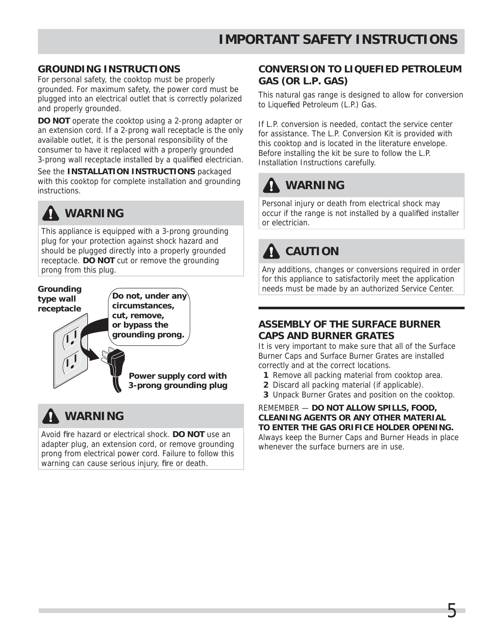#### **GROUNDING INSTRUCTIONS**

For personal safety, the cooktop must be properly grounded. For maximum safety, the power cord must be plugged into an electrical outlet that is correctly polarized and properly grounded.

**DO NOT** operate the cooktop using a 2-prong adapter or an extension cord. If a 2-prong wall receptacle is the only available outlet, it is the personal responsibility of the consumer to have it replaced with a properly grounded 3-prong wall receptacle installed by a qualified electrician.

See the **INSTALLATION INSTRUCTIONS** packaged with this cooktop for complete installation and grounding instructions.

# **WARNING**

This appliance is equipped with a 3-prong grounding plug for your protection against shock hazard and should be plugged directly into a properly grounded receptacle. **DO NOT** cut or remove the grounding prong from this plug.

#### **Grounding type wall receptacle**

**circumstances, cut, remove,** 

**Do not, under any** 

**or bypass the grounding prong.**

> **Power supply cord with 3-prong grounding plug**

## **WARNING**

Avoid fire hazard or electrical shock. DO NOT use an adapter plug, an extension cord, or remove grounding prong from electrical power cord. Failure to follow this warning can cause serious injury, fire or death.

#### **CONVERSION TO LIQUEFIED PETROLEUM GAS (OR L.P. GAS)**

This natural gas range is designed to allow for conversion to Liquefied Petroleum (L.P.) Gas.

If L.P. conversion is needed, contact the service center for assistance. The L.P. Conversion Kit is provided with this cooktop and is located in the literature envelope. Before installing the kit be sure to follow the L.P. Installation Instructions carefully.

# **WARNING**

Personal injury or death from electrical shock may occur if the range is not installed by a qualified installer or electrician.

# **A** CAUTION

Any additions, changes or conversions required in order for this appliance to satisfactorily meet the application needs must be made by an authorized Service Center.

#### **ASSEMBLY OF THE SURFACE BURNER CAPS AND BURNER GRATES**

It is very important to make sure that all of the Surface Burner Caps and Surface Burner Grates are installed correctly and at the correct locations.

- **1** Remove all packing material from cooktop area.
- **2** Discard all packing material (if applicable).
- **3** Unpack Burner Grates and position on the cooktop.

REMEMBER — **DO NOT ALLOW SPILLS, FOOD, CLEANING AGENTS OR ANY OTHER MATERIAL TO ENTER THE GAS ORIFICE HOLDER OPENING.**

Always keep the Burner Caps and Burner Heads in place whenever the surface burners are in use.

Б.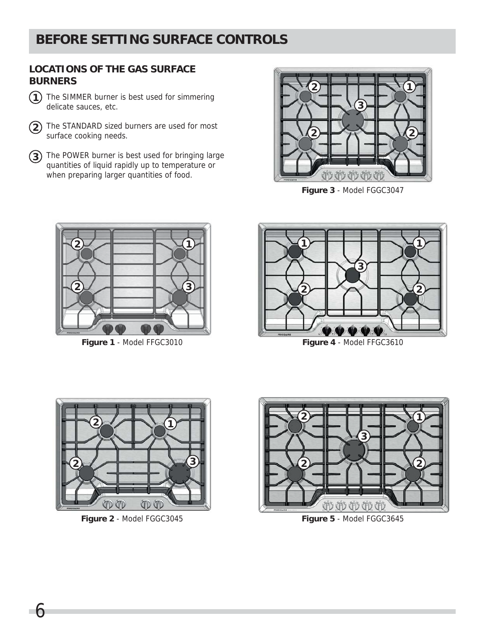## **BEFORE SETTING SURFACE CONTROLS**

#### **LOCATIONS OF THE GAS SURFACE BURNERS**

- The SIMMER burner is best used for simmering delicate sauces, etc.
- The STANDARD sized burners are used for most surface cooking needs.
- The POWER burner is best used for bringing large quantities of liquid rapidly up to temperature or when preparing larger quantities of food.



**Figure 3** - Model FGGC3047



**Figure 1** - Model FFGC3010



**Figure 4** - Model FFGC3610



**Figure 2** - Model FGGC3045 **Figure 5** - Model FGGC3645

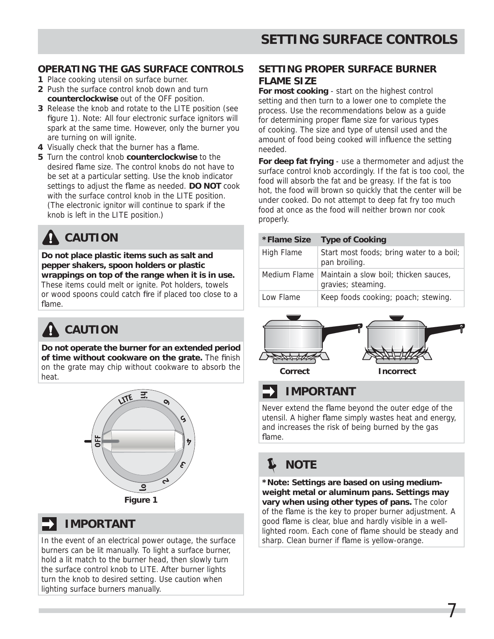#### **OPERATING THE GAS SURFACE CONTROLS**

- **1** Place cooking utensil on surface burner.
- **2** Push the surface control knob down and turn **counterclockwise** out of the OFF position.
- **3** Release the knob and rotate to the LITE position (see figure 1). Note: All four electronic surface ignitors will spark at the same time. However, only the burner you are turning on will ignite.
- **4** Visually check that the burner has a flame.
- **5** Turn the control knob **counterclockwise** to the desired flame size. The control knobs do not have to be set at a particular setting. Use the knob indicator settings to adjust the flame as needed. **DO NOT** cook with the surface control knob in the LITE position. (The electronic ignitor will continue to spark if the knob is left in the LITE position.)

# **A** CAUTION

**Do not place plastic items such as salt and pepper shakers, spoon holders or plastic wrappings on top of the range when it is in use.** These items could melt or ignite. Pot holders, towels or wood spoons could catch fire if placed too close to a flame.

# **CAUTION**

**Do not operate the burner for an extended period of time without cookware on the grate.** The finish on the grate may chip without cookware to absorb the heat.

![](_page_6_Picture_11.jpeg)

**Figure 1**

## **IMPORTANT**

In the event of an electrical power outage, the surface burners can be lit manually. To light a surface burner, hold a lit match to the burner head, then slowly turn the surface control knob to LITE. After burner lights turn the knob to desired setting. Use caution when lighting surface burners manually.

#### **SETTING PROPER SURFACE BURNER FLAME SIZE**

**For most cooking** - start on the highest control setting and then turn to a lower one to complete the process. Use the recommendations below as a guide for determining proper flame size for various types of cooking. The size and type of utensil used and the amount of food being cooked will influence the setting needed.

**For deep fat frying** - use a thermometer and adjust the surface control knob accordingly. If the fat is too cool, the food will absorb the fat and be greasy. If the fat is too hot, the food will brown so quickly that the center will be under cooked. Do not attempt to deep fat fry too much food at once as the food will neither brown nor cook properly.

| *Flame Size  | <b>Type of Cooking</b>                                      |
|--------------|-------------------------------------------------------------|
| High Flame   | Start most foods; bring water to a boil;<br>pan broiling.   |
| Medium Flame | Maintain a slow boil; thicken sauces,<br>gravies; steaming. |
| Low Flame    | Keep foods cooking; poach; stewing.                         |

![](_page_6_Picture_19.jpeg)

## **IMPORTANT**

Never extend the flame beyond the outer edge of the utensil. A higher flame simply wastes heat and energy, and increases the risk of being burned by the gas flame.

# **NOTE**

**\*Note: Settings are based on using mediumweight metal or aluminum pans. Settings may vary when using other types of pans.** The color of the flame is the key to proper burner adjustment. A good flame is clear, blue and hardly visible in a welllighted room. Each cone of flame should be steady and sharp. Clean burner if flame is yellow-orange.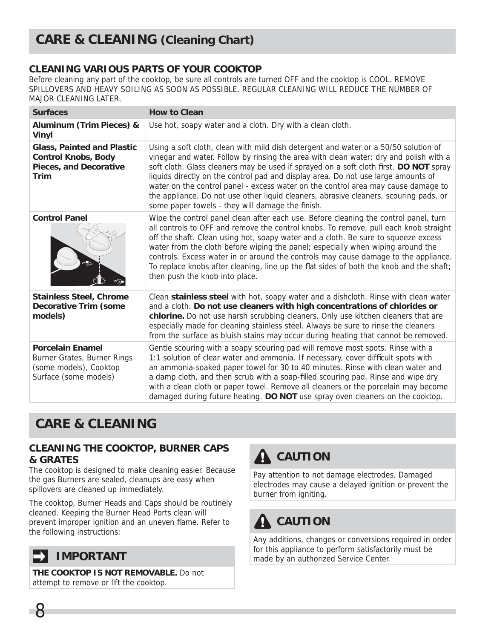#### **CLEANING VARIOUS PARTS OF YOUR COOKTOP**

Before cleaning any part of the cooktop, be sure all controls are turned OFF and the cooktop is COOL. REMOVE SPILLOVERS AND HEAVY SOILING AS SOON AS POSSIBLE. REGULAR CLEANING WILL REDUCE THE NUMBER OF MAJOR CLEANING LATER.

| <b>Surfaces</b>                                                                                                 | <b>How to Clean</b>                                                                                                                                                                                                                                                                                                                                                                                                                                                                                                                                                                          |
|-----------------------------------------------------------------------------------------------------------------|----------------------------------------------------------------------------------------------------------------------------------------------------------------------------------------------------------------------------------------------------------------------------------------------------------------------------------------------------------------------------------------------------------------------------------------------------------------------------------------------------------------------------------------------------------------------------------------------|
| <b>Aluminum (Trim Pieces) &amp;</b><br><b>Vinyl</b>                                                             | Use hot, soapy water and a cloth. Dry with a clean cloth.                                                                                                                                                                                                                                                                                                                                                                                                                                                                                                                                    |
| <b>Glass, Painted and Plastic</b><br><b>Control Knobs, Body</b><br><b>Pieces, and Decorative</b><br><b>Trim</b> | Using a soft cloth, clean with mild dish detergent and water or a 50/50 solution of<br>vinegar and water. Follow by rinsing the area with clean water; dry and polish with a<br>soft cloth. Glass cleaners may be used if sprayed on a soft cloth first. DO NOT spray<br>liquids directly on the control pad and display area. Do not use large amounts of<br>water on the control panel - excess water on the control area may cause damage to<br>the appliance. Do not use other liquid cleaners, abrasive cleaners, scouring pads, or<br>some paper towels - they will damage the finish. |
| <b>Control Panel</b>                                                                                            | Wipe the control panel clean after each use. Before cleaning the control panel, turn<br>all controls to OFF and remove the control knobs. To remove, pull each knob straight<br>off the shaft. Clean using hot, soapy water and a cloth. Be sure to squeeze excess<br>water from the cloth before wiping the panel; especially when wiping around the<br>controls. Excess water in or around the controls may cause damage to the appliance.<br>To replace knobs after cleaning, line up the flat sides of both the knob and the shaft;<br>then push the knob into place.                    |
| <b>Stainless Steel, Chrome</b><br><b>Decorative Trim (some</b><br>models)                                       | Clean stainless steel with hot, soapy water and a dishcloth. Rinse with clean water<br>and a cloth. Do not use cleaners with high concentrations of chlorides or<br>chlorine. Do not use harsh scrubbing cleaners. Only use kitchen cleaners that are<br>especially made for cleaning stainless steel. Always be sure to rinse the cleaners<br>from the surface as bluish stains may occur during heating that cannot be removed.                                                                                                                                                            |
| <b>Porcelain Enamel</b><br>Burner Grates, Burner Rings<br>(some models), Cooktop<br>Surface (some models)       | Gentle scouring with a soapy scouring pad will remove most spots. Rinse with a<br>1:1 solution of clear water and ammonia. If necessary, cover difficult spots with<br>an ammonia-soaked paper towel for 30 to 40 minutes. Rinse with clean water and<br>a damp cloth, and then scrub with a soap-filled scouring pad. Rinse and wipe dry<br>with a clean cloth or paper towel. Remove all cleaners or the porcelain may become<br>damaged during future heating. DO NOT use spray oven cleaners on the cooktop.                                                                             |

## **CARE & CLEANING**

#### **CLEANING THE COOKTOP, BURNER CAPS & GRATES**

The cooktop is designed to make cleaning easier. Because the gas Burners are sealed, cleanups are easy when spillovers are cleaned up immediately.

The cooktop, Burner Heads and Caps should be routinely cleaned. Keeping the Burner Head Ports clean will prevent improper ignition and an uneven flame. Refer to the following instructions:

## **IMPORTANT**

8

**THE COOKTOP IS NOT REMOVABLE.** Do not attempt to remove or lift the cooktop.

# **A** CAUTION

Pay attention to not damage electrodes. Damaged electrodes may cause a delayed ignition or prevent the burner from igniting.

# **A** CAUTION

Any additions, changes or conversions required in order for this appliance to perform satisfactorily must be made by an authorized Service Center.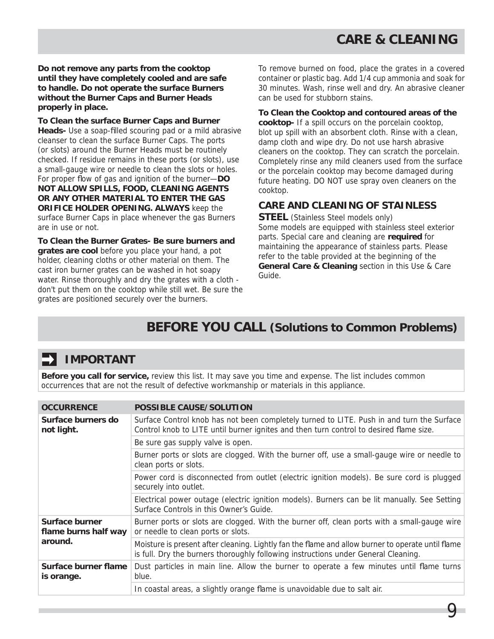**Do not remove any parts from the cooktop until they have completely cooled and are safe to handle. Do not operate the surface Burners without the Burner Caps and Burner Heads properly in place.**

**To Clean the surface Burner Caps and Burner**  Heads- Use a soap-filled scouring pad or a mild abrasive cleanser to clean the surface Burner Caps. The ports (or slots) around the Burner Heads must be routinely checked. If residue remains in these ports (or slots), use a small-gauge wire or needle to clean the slots or holes. For proper flow of gas and ignition of the burner-DO **NOT ALLOW SPILLS, FOOD, CLEANING AGENTS OR ANY OTHER MATERIAL TO ENTER THE GAS ORIFICE HOLDER OPENING. ALWAYS** keep the surface Burner Caps in place whenever the gas Burners are in use or not.

**To Clean the Burner Grates- Be sure burners and grates are cool** before you place your hand, a pot holder, cleaning cloths or other material on them. The cast iron burner grates can be washed in hot soapy water. Rinse thoroughly and dry the grates with a cloth don't put them on the cooktop while still wet. Be sure the grates are positioned securely over the burners.

To remove burned on food, place the grates in a covered container or plastic bag. Add 1/4 cup ammonia and soak for 30 minutes. Wash, rinse well and dry. An abrasive cleaner can be used for stubborn stains.

#### **To Clean the Cooktop and contoured areas of the**

**cooktop-** If a spill occurs on the porcelain cooktop, blot up spill with an absorbent cloth. Rinse with a clean, damp cloth and wipe dry. Do not use harsh abrasive cleaners on the cooktop. They can scratch the porcelain. Completely rinse any mild cleaners used from the surface or the porcelain cooktop may become damaged during future heating. DO NOT use spray oven cleaners on the cooktop.

#### **CARE AND CLEANING OF STAINLESS**

**STEEL** (Stainless Steel models only) Some models are equipped with stainless steel exterior parts. Special care and cleaning are **required** for maintaining the appearance of stainless parts. Please refer to the table provided at the beginning of the **General Care & Cleaning** section in this Use & Care Guide.

9

## **BEFORE YOU CALL (Solutions to Common Problems)**

### **IMPORTANT**

**Before you call for service,** review this list. It may save you time and expense. The list includes common occurrences that are not the result of defective workmanship or materials in this appliance.

| <b>OCCURRENCE</b>                                 | <b>POSSIBLE CAUSE/SOLUTION</b>                                                                                                                                                          |
|---------------------------------------------------|-----------------------------------------------------------------------------------------------------------------------------------------------------------------------------------------|
| Surface burners do<br>not light.                  | Surface Control knob has not been completely turned to LITE. Push in and turn the Surface<br>Control knob to LITE until burner ignites and then turn control to desired flame size.     |
|                                                   | Be sure gas supply valve is open.                                                                                                                                                       |
|                                                   | Burner ports or slots are clogged. With the burner off, use a small-gauge wire or needle to<br>clean ports or slots.                                                                    |
|                                                   | Power cord is disconnected from outlet (electric ignition models). Be sure cord is plugged<br>securely into outlet.                                                                     |
|                                                   | Electrical power outage (electric ignition models). Burners can be lit manually. See Setting<br>Surface Controls in this Owner's Guide.                                                 |
| Surface burner<br>flame burns half way<br>around. | Burner ports or slots are clogged. With the burner off, clean ports with a small-gauge wire<br>or needle to clean ports or slots.                                                       |
|                                                   | Moisture is present after cleaning. Lightly fan the flame and allow burner to operate until flame<br>is full. Dry the burners thoroughly following instructions under General Cleaning. |
| Surface burner flame<br>is orange.                | Dust particles in main line. Allow the burner to operate a few minutes until flame turns<br>blue.                                                                                       |
|                                                   | In coastal areas, a slightly orange flame is unavoidable due to salt air.                                                                                                               |